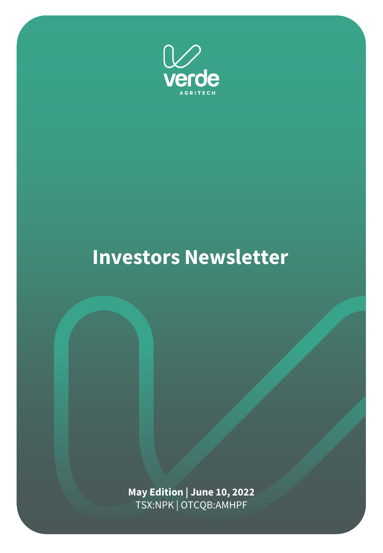

# **Investors Newsletter**

**May Edition | June 10, 2022** TSX:NPK | OTCQB:AMHPF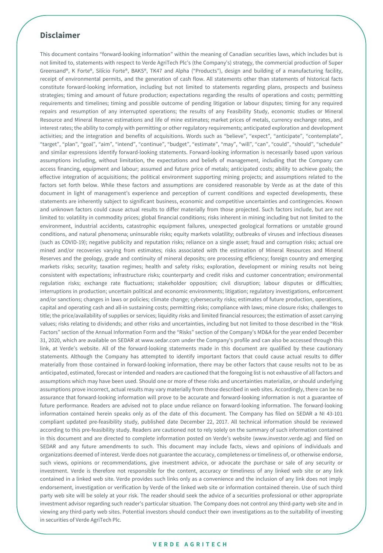### **Disclaimer**

This document contains "forward-looking information" within the meaning of Canadian securities laws, which includes but is not limited to, statements with respect to Verde AgriTech Plc's (the Company's) strategy, the commercial production of Super Greensand®, K Forte®, Silício Forte®, BAKS®, TK47 and Alpha ("Products"), design and building of a manufacturing facility, receipt of environmental permits, and the generation of cash flow. All statements other than statements of historical facts constitute forward-looking information, including but not limited to statements regarding plans, prospects and business strategies; timing and amount of future production; expectations regarding the results of operations and costs; permitting requirements and timelines; timing and possible outcome of pending litigation or labour disputes; timing for any required repairs and resumption of any interrupted operations; the results of any Feasibility Study, economic studies or Mineral Resource and Mineral Reserve estimations and life of mine estimates; market prices of metals, currency exchange rates, and interest rates; the ability to comply with permitting or other regulatory requirements; anticipated exploration and development activities; and the integration and benefits of acquisitions. Words such as "believe", "expect", "anticipate", "contemplate", "target", "plan", "goal", "aim", "intend", "continue", "budget", "estimate", "may", "will", "can", "could", "should", "schedule" and similar expressions identify forward-looking statements. Forward-looking information is necessarily based upon various assumptions including, without limitation, the expectations and beliefs of management, including that the Company can access financing, equipment and labour; assumed and future price of metals; anticipated costs; ability to achieve goals; the effective integration of acquisitions; the political environment supporting mining projects; and assumptions related to the factors set forth below. While these factors and assumptions are considered reasonable by Verde as at the date of this document in light of management's experience and perception of current conditions and expected developments, these statements are inherently subject to significant business, economic and competitive uncertainties and contingencies. Known and unknown factors could cause actual results to differ materially from those projected. Such factors include, but are not limited to: volatility in commodity prices; global financial conditions; risks inherent in mining including but not limited to the environment, industrial accidents, catastrophic equipment failures, unexpected geological formations or unstable ground conditions, and natural phenomena; uninsurable risks; equity markets volatility; outbreaks of viruses and infectious diseases (such as COVID-19); negative publicity and reputation risks; reliance on a single asset; fraud and corruption risks; actual ore mined and/or recoveries varying from estimates; risks associated with the estimation of Mineral Resources and Mineral Reserves and the geology, grade and continuity of mineral deposits; ore processing efficiency; foreign country and emerging markets risks; security; taxation regimes; health and safety risks; exploration, development or mining results not being consistent with expectations; infrastructure risks; counterparty and credit risks and customer concentration; environmental regulation risks; exchange rate fluctuations; stakeholder opposition; civil disruption; labour disputes or difficulties; interruptions in production; uncertain political and economic environments; litigation; regulatory investigations, enforcement and/or sanctions; changes in laws or policies; climate change; cybersecurity risks; estimates of future production, operations, capital and operating cash and all-in sustaining costs; permitting risks; compliance with laws; mine closure risks; challenges to title; the price/availability of supplies or services; liquidity risks and limited financial resources; the estimation of asset carrying values; risks relating to dividends; and other risks and uncertainties, including but not limited to those described in the "Risk Factors" section of the Annual Information Form and the "Risks" section of the Company's MD&A for the year ended December 31, 2020, which are available on SEDAR at www.sedar.com under the Company's profile and can also be accessed through this link, at Verde's website. All of the forward-looking statements made in this document are qualified by these cautionary statements. Although the Company has attempted to identify important factors that could cause actual results to differ materially from those contained in forward-looking information, there may be other factors that cause results not to be as anticipated, estimated, forecast or intended and readers are cautioned that the foregoing list is not exhaustive of all factors and assumptions which may have been used. Should one or more of these risks and uncertainties materialize, or should underlying assumptions prove incorrect, actual results may vary materially from those described in web sites. Accordingly, there can be no assurance that forward-looking information will prove to be accurate and forward-looking information is not a guarantee of future performance. Readers are advised not to place undue reliance on forward-looking information. The forward-looking information contained herein speaks only as of the date of this document. The Company has filed on SEDAR a NI 43-101 compliant updated pre-feasibility study, published date December 22, 2017. All technical information should be reviewed according to this pre-feasibility study. Readers are cautioned not to rely solely on the summary of such information contained in this document and are directed to complete information posted on Verde's website (www.investor.verde.ag) and filed on SEDAR and any future amendments to such. This document may include facts, views and opinions of individuals and organizations deemed of interest. Verde does not guarantee the accuracy, completeness or timeliness of, or otherwise endorse, such views, opinions or recommendations, give investment advice, or advocate the purchase or sale of any security or investment. Verde is therefore not responsible for the content, accuracy or timeliness of any linked web site or any link contained in a linked web site. Verde provides such links only as a convenience and the inclusion of any link does not imply endorsement, investigation or verification by Verde of the linked web site or information contained therein. Use of such third party web site will be solely at your risk. The reader should seek the advice of a securities professional or other appropriate investment advisor regarding such reader's particular situation. The Company does not control any third-party web site and in viewing any third-party web sites. Potential investors should conduct their own investigations as to the suitability of investing in securities of Verde AgriTech Plc.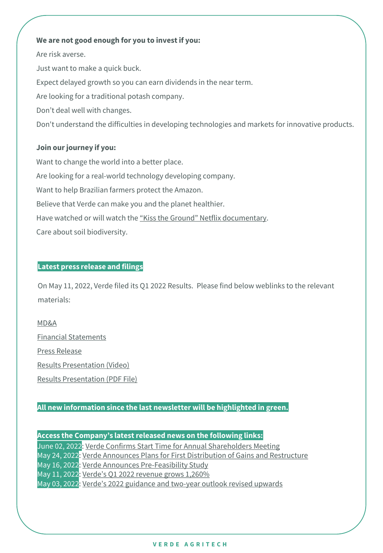#### **We are not good enough for you to invest if you:**

Are risk averse. Just want to make a quick buck. Expect delayed growth so you can earn dividends in the near term. Are looking for a traditional potash company. Don't deal well with changes. Don't understand the difficulties in developing technologies and markets for innovative products. **Join ourjourney if you:**

Want to change the world into a better place. Are looking for a real-world technology developing company. Want to help Brazilian farmers protect the Amazon. Believe that Verde can make you and the planet healthier. Have watched or will watch the "Kiss the Ground" Netflix [documentary](https://www.youtube.com/watch?v=K3-V1j-zMZw). Care about soil biodiversity.

#### **Latest press release and filings**

On May 11, 2022, Verde filed its Q1 2022 Results. Please find below weblinks to the relevant materials:

[MD&A](https://investor.verde.ag/wp-content/uploads/2022/05/Q1-2022-MDA-Verde-AgriTech-May-11-2022.pdf) [Financial Statements](https://investor.verde.ag/wp-content/uploads/2022/05/VA-Accounts-Q1-2022-May-11-2022.pdf) [Press Release](https://investor.verde.ag/wp-content/uploads/2022/05/Verde-AgriTech-Q1-2022-Press-Release-May-11-2022.pdf) [Results Presentation \(Video\)](https://www.youtube.com/watch?v=0ZI3MBvxgCU) [Results Presentation \(PDF File\)](https://investor.verde.ag/wp-content/uploads/2022/05/Q1-2022-Results-Presentation-Verde-AgriTech.pdf)

# **All new information since the last newsletter will be highlighted in green.**

#### **Access the Company's latest released news on the following links:**

June 02, 2022: [Verde Confirms Start Time for Annual Shareholders Meeting](https://investor.verde.ag/verde-confirms-start-time-for-annual-shareholders-meeting/) May 24, 2022: [Verde Announces Plans for First Distribution of Gains and Restructure](https://investor.verde.ag/verde-announces-plans-for-first-distribution-of-gains-and-restructure/) May 16, 2022: [Verde Announces Pre-Feasibility Study](https://investor.verde.ag/verde-announces-pre-feasibility-study/) May 11, 2022: [Verde's Q1 2022 revenue grows 1,260%](https://investor.verde.ag/verdes-q1-2022-revenue-grows-1260/) May 03, 2022: [Verde's 2022 guidance and two](https://investor.verde.ag/verdes-2022-guidance-and-two-year-outlook-revised-upwards/)-year outlook revised upwards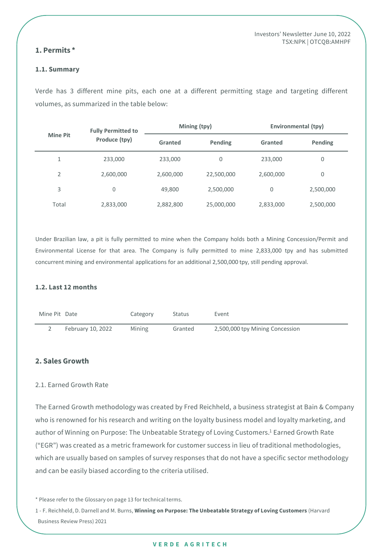#### **1. Permits \***

#### **1.1. Summary**

Verde has 3 different mine pits, each one at a different permitting stage and targeting different volumes, as summarized in the table below:

| <b>Mine Pit</b> | <b>Fully Permitted to</b> |           | Mining (tpy) |           | Environmental (tpy) |
|-----------------|---------------------------|-----------|--------------|-----------|---------------------|
|                 | Produce (tpy)             | Granted   | Pending      | Granted   | Pending             |
| 1               | 233,000                   | 233,000   | 0            | 233,000   | 0                   |
| $\overline{2}$  | 2,600,000                 | 2,600,000 | 22,500,000   | 2,600,000 | 0                   |
| 3               | 0                         | 49,800    | 2,500,000    | 0         | 2,500,000           |
| Total           | 2,833,000                 | 2,882,800 | 25,000,000   | 2,833,000 | 2,500,000           |

Under Brazilian law, a pit is fully permitted to mine when the Company holds both a Mining Concession/Permit and Environmental License for that area. The Company is fully permitted to mine 2,833,000 tpy and has submitted concurrent mining and environmental applications for an additional 2,500,000 tpy, still pending approval.

#### **1.2. Last 12 months**

| Mine Pit Date |                   | Category | Status  | Event                           |
|---------------|-------------------|----------|---------|---------------------------------|
|               | February 10, 2022 | Mining   | Granted | 2,500,000 tpy Mining Concession |

#### **2. Sales Growth**

#### 2.1. Earned Growth Rate

The Earned Growth methodology was created by Fred Reichheld, a business strategist at Bain & Company who is renowned for his research and writing on the loyalty business model and loyalty marketing, and author of Winning on Purpose: The Unbeatable Strategy of Loving Customers.<sup>1</sup> Earned Growth Rate ("EGR") was created as a metric framework for customer success in lieu of traditional methodologies, which are usually based on samples of survey responses that do not have a specific sector methodology and can be easily biased according to the criteria utilised.

\* Please refer to the Glossary on page 13 for technical terms.

1 - F. Reichheld, D. Darnell and M. Burns, **Winning on Purpose: The Unbeatable Strategy of Loving Customers** (Harvard Business Review Press) 2021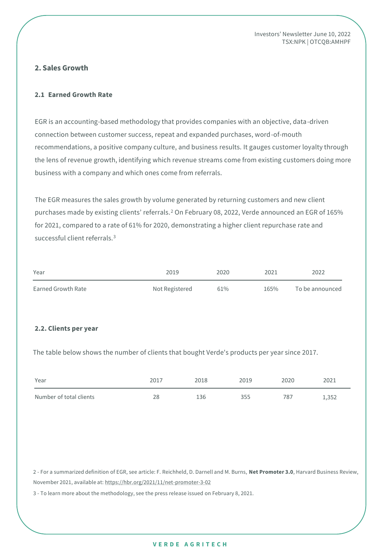#### **2. Sales Growth**

#### **2.1. Earned Growth Rate**

EGR is an accounting-based methodology that provides companies with an objective, data-driven connection between customer success, repeat and expanded purchases, word-of-mouth recommendations, a positive company culture, and business results. It gauges customer loyalty through the lens of revenue growth, identifying which revenue streams come from existing customers doing more business with a company and which ones come from referrals.

The EGR measures the sales growth by volume generated by returning customers and new client purchases made by existing clients' referrals.<sup>2</sup> On February 08, 2022, Verde announced an EGR of 165% for 2021, compared to a rate of 61% for 2020, demonstrating a higher client repurchase rate and successful client referrals.<sup>3</sup>

| Year               | 2019           | 2020 | 2021 | 2022            |
|--------------------|----------------|------|------|-----------------|
| Earned Growth Rate | Not Registered | 61%  | 165% | To be announced |

#### **2.2. Clients per year**

The table below shows the number of clients that bought Verde's products per year since 2017.

| Year                    | 2017 | 2018 | 2019 | 2020 | 2021  |
|-------------------------|------|------|------|------|-------|
| Number of total clients | 28   | 136  | 355  | 787  | 1,352 |

2 - For a summarized definition of EGR, see article: F. Reichheld, D. Darnell and M. Burns, **Net Promoter 3.0**, Harvard Business Review, November 2021, available at: <https://hbr.org/2021/11/net-promoter-3-02>

3 - To learn more about the methodology, see the press release issued on February 8, 2021.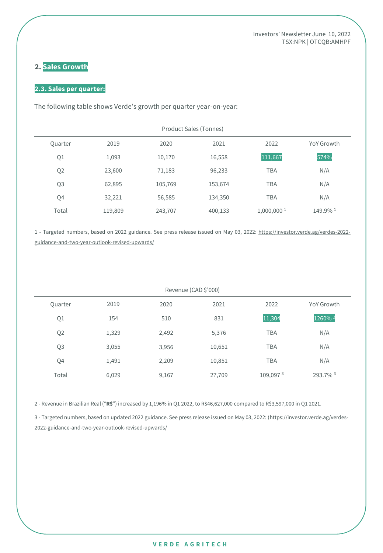# **2. Sales Growth**

#### **2.3. Sales per quarter:**

The following table shows Verde's growth per quarter year-on-year:

| Product Sales (Tonnes) |         |         |         |                          |            |
|------------------------|---------|---------|---------|--------------------------|------------|
| Quarter                | 2019    | 2020    | 2021    | 2022                     | YoY Growth |
| Q1                     | 1,093   | 10,170  | 16,558  | 111,667                  | 574%       |
| Q <sub>2</sub>         | 23,600  | 71,183  | 96,233  | <b>TBA</b>               | N/A        |
| Q3                     | 62,895  | 105,769 | 153,674 | <b>TBA</b>               | N/A        |
| Q4                     | 32,221  | 56,585  | 134,350 | <b>TBA</b>               | N/A        |
| Total                  | 119,809 | 243,707 | 400,133 | $1,000,000$ <sup>1</sup> | 149.9% 1   |

1 - Targeted numbers, based on 2022 guidance. See press release issued on May 03, 2022: https://investor.verde.ag/verdes-2022 [guidance-and-two-year-outlook-revised-upwards/](https://investor.verde.ag/verdes-2022-guidance-and-two-year-outlook-revised-upwards/)

#### Revenue (CAD \$'000)

| Quarter        | 2019  | 2020  | 2021   | 2022       | YoY Growth         |
|----------------|-------|-------|--------|------------|--------------------|
| Q <sub>1</sub> | 154   | 510   | 831    | 11,304     | 1260% <sup>2</sup> |
| Q <sub>2</sub> | 1,329 | 2,492 | 5,376  | <b>TBA</b> | N/A                |
| Q3             | 3,055 | 3,956 | 10,651 | <b>TBA</b> | N/A                |
| Q4             | 1,491 | 2,209 | 10,851 | <b>TBA</b> | N/A                |
| Total          | 6,029 | 9,167 | 27,709 | 109,097 3  | 293.7% 3           |

2 - Revenue in Brazilian Real ("**R\$**") increased by 1,196% in Q1 2022, to R\$46,627,000 compared to R\$3,597,000 in Q1 2021.

3 - [Targeted numbers, based on updated 2022 guidance. See press release issued on May 03, 2022: \(https://investor.verde.ag/verdes-](https://investor.verde.ag/verdes-2022-guidance-and-two-year-outlook-revised-upwards/)2022-guidance-and-two-year-outlook-revised-upwards/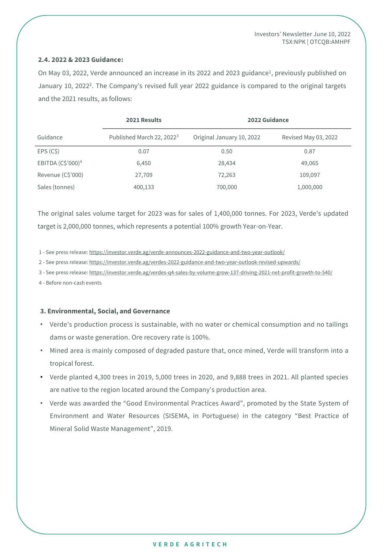#### **2.4. 2022 & 2023 Guidance:**

On May 03, 2022, Verde announced an increase in its 2022 and 2023 guidance<sup>1</sup>, previously published on January 10, 2022<sup>2</sup> . The Company's revised full year 2022 guidance is compared to the original targets and the 2021 results, as follows:

|                            | 2021 Results                          | 2022 Guidance             |                      |
|----------------------------|---------------------------------------|---------------------------|----------------------|
| Guidance                   | Published March 22, 2022 <sup>3</sup> | Original January 10, 2022 | Revised May 03, 2022 |
| EPS (CS)                   | 0.07                                  | 0.50                      | 0.87                 |
| EBITDA $(C\text{S'}000)^4$ | 6,450                                 | 28,434                    | 49,065               |
| Revenue (C\$'000)          | 27,709                                | 72,263                    | 109,097              |
| Sales (tonnes)             | 400,133                               | 700,000                   | 1,000,000            |

The original sales volume target for 2023 was for sales of 1,400,000 tonnes. For 2023, Verde's updated target is 2,000,000 tonnes, which represents a potential 100% growth Year-on-Year.

1 - See press release: <https://investor.verde.ag/verde-announces-2022-guidance-and-two-year-outlook/>

2 - See press release: <https://investor.verde.ag/verdes-2022-guidance-and-two-year-outlook-revised-upwards/>

3 - See press release: <https://investor.verde.ag/verdes-q4-sales-by-volume-grow-137-driving-2021-net-profit-growth-to-540/>

4 - Before non-cash events

#### **3. Environmental, Social, and Governance**

- Verde's production process is sustainable, with no water or chemical consumption and no tailings dams or waste generation. Ore recovery rate is 100%.
- Mined area is mainly composed of degraded pasture that, once mined, Verde will transform into a tropical forest.
- Verde planted 4,300 trees in 2019, 5,000 trees in 2020, and 9,888 trees in 2021. All planted species are native to the region located around the Company's production area.
- Verde was awarded the "Good Environmental Practices Award", promoted by the State System of Environment and Water Resources (SISEMA, in Portuguese) in the category "Best Practice of Mineral Solid Waste Management", 2019.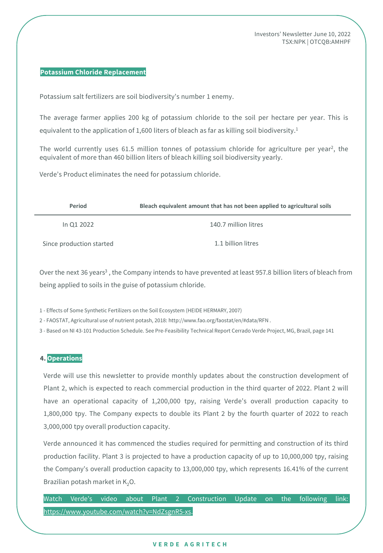#### **Potassium Chloride Replacement**

Potassium salt fertilizers are soil biodiversity's number 1 enemy.

The average farmer applies 200 kg of potassium chloride to the soil per hectare per year. This is equivalent to the application of 1,600 liters of bleach as far as killing soil biodiversity. 1

The world currently uses 61.5 million tonnes of potassium chloride for agriculture per year<sup>2</sup>, the equivalent of more than 460 billion liters of bleach killing soil biodiversity yearly.

Verde's Product eliminates the need for potassium chloride.

| Period                   | Bleach equivalent amount that has not been applied to agricultural soils |
|--------------------------|--------------------------------------------------------------------------|
| In Q1 2022               | 140.7 million litres                                                     |
| Since production started | 1.1 billion litres                                                       |

Over the next 36 years<sup>3</sup>, the Company intends to have prevented at least 957.8 billion liters of bleach from being applied to soils in the guise of potassium chloride.

1 - Effects of Some Synthetic Fertilizers on the Soil Ecosystem (HEIDE HERMARY, 2007)

2 - FAOSTAT, Agricultural use of nutrient potash, 2018: http://www.fao.org/faostat/en/#data/RFN .

3 - Based on NI 43-101 Production Schedule. See Pre-Feasibility Technical Report Cerrado Verde Project, MG, Brazil, page 141

#### **4. Operations**

Verde will use this newsletter to provide monthly updates about the construction development of Plant 2, which is expected to reach commercial production in the third quarter of 2022. Plant 2 will have an operational capacity of 1,200,000 tpy, raising Verde's overall production capacity to 1,800,000 tpy. The Company expects to double its Plant 2 by the fourth quarter of 2022 to reach 3,000,000 tpy overall production capacity.

Verde announced it has commenced the studies required for permitting and construction of its third production facility. Plant 3 is projected to have a production capacity of up to 10,000,000 tpy, raising the Company's overall production capacity to 13,000,000 tpy, which represents 16.41% of the current Brazilian potash market in  $K_2O$ .

Watch Verde's video about Plant 2 Construction Update on the following link: [https://www.youtube.com/watch?v=NdZsgnR5-xs.](https://www.youtube.com/watch?v=NdZsgnR5-xs)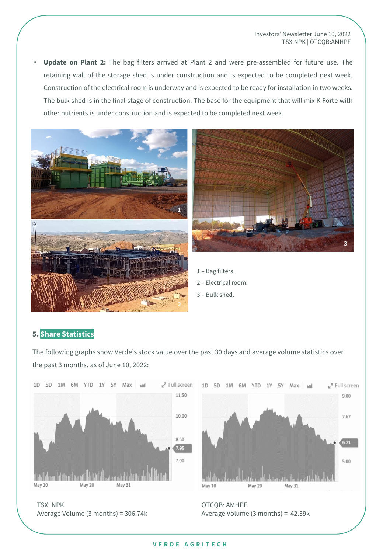• **Update on Plant 2:** The bag filters arrived at Plant 2 and were pre-assembled for future use. The retaining wall of the storage shed is under construction and is expected to be completed next week. Construction of the electrical room is underway and is expected to be ready for installation in two weeks. The bulk shed is in the final stage of construction. The base for the equipment that will mix K Forte with other nutrients is under construction and is expected to be completed next week.





1 – Bag filters. 2 – Electrical room. 3 – Bulk shed.

## **5. Share Statistics**

The following graphs show Verde's stock value over the past 30 days and average volume statistics over the past 3 months, as of June 10, 2022:



Average Volume (3 months) = 306.74k

Average Volume (3 months) = 42.39k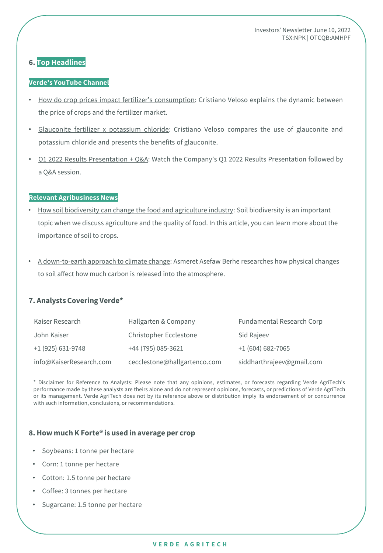#### **6. Top Headlines**

#### **Verde's YouTube Channel**

- How do crop prices impact fertilizer's [consumption:](https://www.youtube.com/watch?v=4GSo8ZA8dxA) Cristiano Veloso explains the dynamic between the price of crops and the fertilizer market.
- [Glauconite](https://www.youtube.com/watch?v=I2w1d_kyykU) fertilizer x potassium chloride: Cristiano Veloso compares the use of glauconite and potassium chloride and presents the benefits of glauconite.
- Q1 2022 Results [Presentation](https://www.youtube.com/watch?v=0ZI3MBvxgCU&t=4s) + Q&A: Watch the Company's Q1 2022 Results Presentation followed by a Q&A session.

#### **Relevant Agribusiness News**

- [How soil biodiversity can change the food and agriculture industry](https://chloridefree.org/how-soil-biodiversity-can-change-the-food-and-agriculture-industry/): Soil biodiversity is an important topic when we discuss agriculture and the quality of food. In this article, you can learn more about the importance of soil to crops.
- [A down-to-earth approach to climate change](https://www.nature.com/articles/d41586-022-01500-w): Asmeret Asefaw Berhe researches how physical changes to soil affect how much carbon is released into the atmosphere.

#### **7. Analysts Covering Verde\***

| Kaiser Research         | Hallgarten & Company         | Fundamental Research Corp |
|-------------------------|------------------------------|---------------------------|
| John Kaiser             | Christopher Ecclestone       | Sid Rajeev                |
| +1 (925) 631-9748       | +44 (795) 085-3621           | $+1(604)682-7065$         |
| info@KaiserResearch.com | cecclestone@hallgartenco.com | siddharthrajeev@gmail.com |

\* Disclaimer for Reference to Analysts: Please note that any opinions, estimates, or forecasts regarding Verde AgriTech's performance made by these analysts are theirs alone and do not represent opinions, forecasts, or predictions of Verde AgriTech or its management. Verde AgriTech does not by its reference above or distribution imply its endorsement of or concurrence with such information, conclusions, or recommendations.

#### **8. How much K Forte® is used in average per crop**

- Soybeans: 1 tonne per hectare
- Corn: 1 tonne per hectare
- Cotton: 1.5 tonne per hectare
- Coffee: 3 tonnes per hectare
- Sugarcane: 1.5 tonne per hectare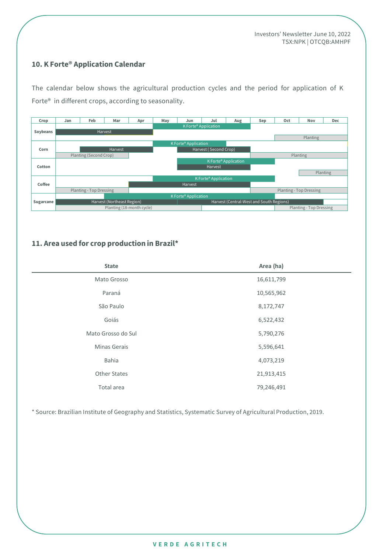#### **10. K Forte® Application Calendar**

The calendar below shows the agricultural production cycles and the period for application of K Forte® in different crops, according to seasonality.



# **11. Area used for crop production in Brazil\***

| <b>State</b>        | Area (ha)  |
|---------------------|------------|
| Mato Grosso         | 16,611,799 |
| Paraná              | 10,565,962 |
| São Paulo           | 8,172,747  |
| Goiás               | 6,522,432  |
| Mato Grosso do Sul  | 5,790,276  |
| Minas Gerais        | 5,596,641  |
| <b>Bahia</b>        | 4,073,219  |
| <b>Other States</b> | 21,913,415 |
| Total area          | 79,246,491 |

\* Source: Brazilian Institute of Geography and Statistics, Systematic Survey of Agricultural Production, 2019.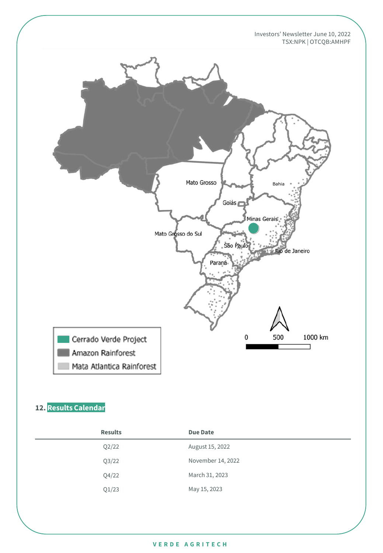

# **12. Results Calendar**

| <b>Results</b> | <b>Due Date</b>   |
|----------------|-------------------|
| Q2/22          | August 15, 2022   |
| Q3/22          | November 14, 2022 |
| Q4/22          | March 31, 2023    |
| Q1/23          | May 15, 2023      |
|                |                   |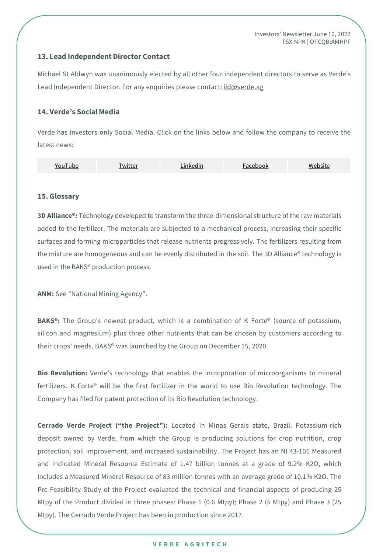#### **13. Lead Independent Director Contact**

Michael St Aldwyn was unanimously elected by all other four independent directors to serve as Verde's Lead Independent Director. For any enquiries please contact: *[ild@verde.ag](mailto:ild@verde.ag)* 

### **14. Verde's Social Media**

Verde has investors-only Social Media. Click on the links below and follow the company to receive the latest news:

| YouTube | Twitter | Linkedin | Facebook | Website |
|---------|---------|----------|----------|---------|
|         |         |          |          |         |

#### **15. Glossary**

**3D Alliance®:** Technology developed to transform the three-dimensional structure of the raw materials added to the fertilizer. The materials are subjected to a mechanical process, increasing their specific surfaces and forming microparticles that release nutrients progressively. The fertilizers resulting from the mixture are homogeneous and can be evenly distributed in the soil. The 3D Alliance® technology is used in the BAKS® production process.

**ANM:** See "National Mining Agency".

**BAKS®:** The Group's newest product, which is a combination of K Forte® (source of potassium, silicon and magnesium) plus three other nutrients that can be chosen by customers according to their crops' needs. BAKS® was launched by the Group on December 15, 2020.

**Bio Revolution:** Verde's technology that enables the incorporation of microorganisms to mineral fertilizers. K Forte® will be the first fertilizer in the world to use Bio Revolution technology. The Company has filed for patent protection of its Bio Revolution technology.

**Cerrado Verde Project ("the Project"):** Located in Minas Gerais state, Brazil. Potassium-rich deposit owned by Verde, from which the Group is producing solutions for crop nutrition, crop protection, soil improvement, and increased sustainability. The Project has an NI 43-101 Measured and Indicated Mineral Resource Estimate of 1.47 billion tonnes at a grade of 9.2% K2O, which includes a Measured Mineral Resource of 83 million tonnes with an average grade of 10.1% K2O. The Pre-Feasibility Study of the Project evaluated the technical and financial aspects of producing 25 Mtpy of the Product divided in three phases: Phase 1 (0.6 Mtpy); Phase 2 (5 Mtpy) and Phase 3 (25 Mtpy). The Cerrado Verde Project has been in production since 2017.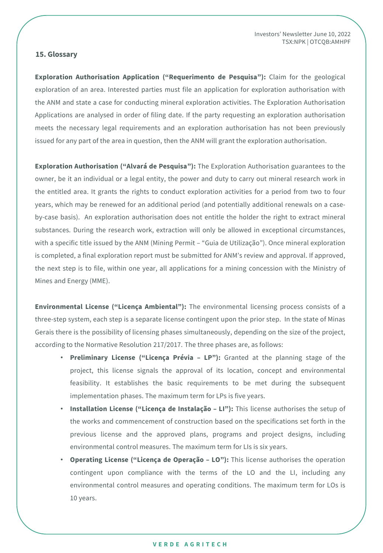**Exploration Authorisation Application ("Requerimento de Pesquisa"):** Claim for the geological exploration of an area. Interested parties must file an application for exploration authorisation with the ANM and state a case for conducting mineral exploration activities. The Exploration Authorisation Applications are analysed in order of filing date. If the party requesting an exploration authorisation meets the necessary legal requirements and an exploration authorisation has not been previously issued for any part of the area in question, then the ANM will grant the exploration authorisation.

**Exploration Authorisation ("Alvará de Pesquisa"):** The Exploration Authorisation guarantees to the owner, be it an individual or a legal entity, the power and duty to carry out mineral research work in the entitled area. It grants the rights to conduct exploration activities for a period from two to four years, which may be renewed for an additional period (and potentially additional renewals on a caseby-case basis). An exploration authorisation does not entitle the holder the right to extract mineral substances. During the research work, extraction will only be allowed in exceptional circumstances, with a specific title issued by the ANM (Mining Permit – "Guia de Utilização"). Once mineral exploration is completed, a final exploration report must be submitted for ANM's review and approval. If approved, the next step is to file, within one year, all applications for a mining concession with the Ministry of Mines and Energy (MME).

**Environmental License ("Licença Ambiental"):** The environmental licensing process consists of a three-step system, each step is a separate license contingent upon the prior step. In the state of Minas Gerais there is the possibility of licensing phases simultaneously, depending on the size of the project, according to the Normative Resolution 217/2017. The three phases are, as follows:

- **Preliminary License ("Licença Prévia – LP"):** Granted at the planning stage of the project, this license signals the approval of its location, concept and environmental feasibility. It establishes the basic requirements to be met during the subsequent implementation phases. The maximum term for LPs is five years.
- **Installation License ("Licença de Instalação – LI"):** This license authorises the setup of the works and commencement of construction based on the specifications set forth in the previous license and the approved plans, programs and project designs, including environmental control measures. The maximum term for LIs is six years.
- **Operating License ("Licença de Operação – LO"):** This license authorises the operation contingent upon compliance with the terms of the LO and the LI, including any environmental control measures and operating conditions. The maximum term for LOs is 10 years.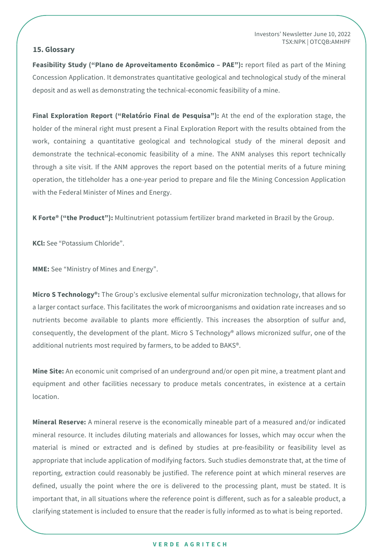**Feasibility Study ("Plano de Aproveitamento Econômico – PAE"):** report filed as part of the Mining Concession Application. It demonstrates quantitative geological and technological study of the mineral deposit and as well as demonstrating the technical-economic feasibility of a mine.

**Final Exploration Report ("Relatório Final de Pesquisa"):** At the end of the exploration stage, the holder of the mineral right must present a Final Exploration Report with the results obtained from the work, containing a quantitative geological and technological study of the mineral deposit and demonstrate the technical-economic feasibility of a mine. The ANM analyses this report technically through a site visit. If the ANM approves the report based on the potential merits of a future mining operation, the titleholder has a one-year period to prepare and file the Mining Concession Application with the Federal Minister of Mines and Energy.

**K Forte® ("the Product"):** Multinutrient potassium fertilizer brand marketed in Brazil by the Group.

**KCl:** See "Potassium Chloride".

**MME:** See "Ministry of Mines and Energy".

**Micro S Technology®:** The Group's exclusive elemental sulfur micronization technology, that allows for a larger contact surface. This facilitates the work of microorganisms and oxidation rate increases and so nutrients become available to plants more efficiently. This increases the absorption of sulfur and, consequently, the development of the plant. Micro S Technology® allows micronized sulfur, one of the additional nutrients most required by farmers, to be added to BAKS®.

**Mine Site:** An economic unit comprised of an underground and/or open pit mine, a treatment plant and equipment and other facilities necessary to produce metals concentrates, in existence at a certain location.

**Mineral Reserve:** A mineral reserve is the economically mineable part of a measured and/or indicated mineral resource. It includes diluting materials and allowances for losses, which may occur when the material is mined or extracted and is defined by studies at pre-feasibility or feasibility level as appropriate that include application of modifying factors. Such studies demonstrate that, at the time of reporting, extraction could reasonably be justified. The reference point at which mineral reserves are defined, usually the point where the ore is delivered to the processing plant, must be stated. It is important that, in all situations where the reference point is different, such as for a saleable product, a clarifying statement is included to ensure that the reader is fully informed as to what is being reported.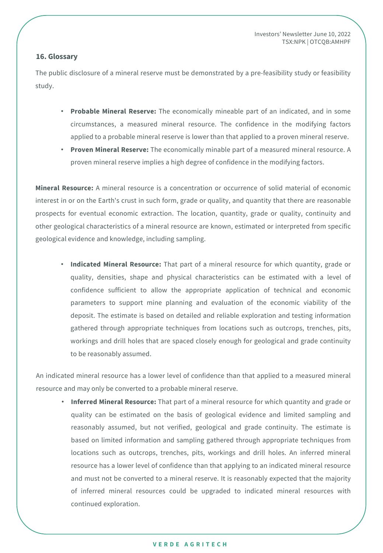The public disclosure of a mineral reserve must be demonstrated by a pre-feasibility study or feasibility study.

- **Probable Mineral Reserve:** The economically mineable part of an indicated, and in some circumstances, a measured mineral resource. The confidence in the modifying factors applied to a probable mineral reserve is lower than that applied to a proven mineral reserve.
- **Proven Mineral Reserve:** The economically minable part of a measured mineral resource. A proven mineral reserve implies a high degree of confidence in the modifying factors.

**Mineral Resource:** A mineral resource is a concentration or occurrence of solid material of economic interest in or on the Earth's crust in such form, grade or quality, and quantity that there are reasonable prospects for eventual economic extraction. The location, quantity, grade or quality, continuity and other geological characteristics of a mineral resource are known, estimated or interpreted from specific geological evidence and knowledge, including sampling.

• **Indicated Mineral Resource:** That part of a mineral resource for which quantity, grade or quality, densities, shape and physical characteristics can be estimated with a level of confidence sufficient to allow the appropriate application of technical and economic parameters to support mine planning and evaluation of the economic viability of the deposit. The estimate is based on detailed and reliable exploration and testing information gathered through appropriate techniques from locations such as outcrops, trenches, pits, workings and drill holes that are spaced closely enough for geological and grade continuity to be reasonably assumed.

An indicated mineral resource has a lower level of confidence than that applied to a measured mineral resource and may only be converted to a probable mineral reserve.

• **Inferred Mineral Resource:** That part of a mineral resource for which quantity and grade or quality can be estimated on the basis of geological evidence and limited sampling and reasonably assumed, but not verified, geological and grade continuity. The estimate is based on limited information and sampling gathered through appropriate techniques from locations such as outcrops, trenches, pits, workings and drill holes. An inferred mineral resource has a lower level of confidence than that applying to an indicated mineral resource and must not be converted to a mineral reserve. It is reasonably expected that the majority of inferred mineral resources could be upgraded to indicated mineral resources with continued exploration.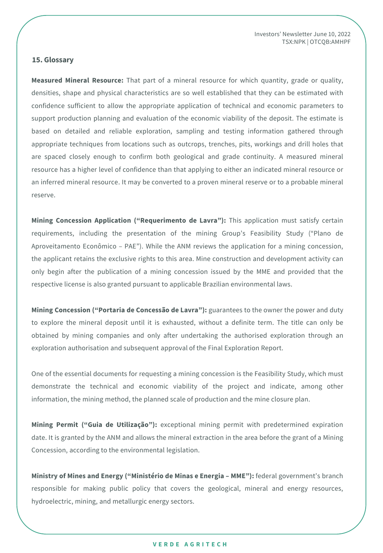**Measured Mineral Resource:** That part of a mineral resource for which quantity, grade or quality, densities, shape and physical characteristics are so well established that they can be estimated with confidence sufficient to allow the appropriate application of technical and economic parameters to support production planning and evaluation of the economic viability of the deposit. The estimate is based on detailed and reliable exploration, sampling and testing information gathered through appropriate techniques from locations such as outcrops, trenches, pits, workings and drill holes that are spaced closely enough to confirm both geological and grade continuity. A measured mineral resource has a higher level of confidence than that applying to either an indicated mineral resource or an inferred mineral resource. It may be converted to a proven mineral reserve or to a probable mineral reserve.

**Mining Concession Application ("Requerimento de Lavra"):** This application must satisfy certain requirements, including the presentation of the mining Group's Feasibility Study ("Plano de Aproveitamento Econômico – PAE"). While the ANM reviews the application for a mining concession, the applicant retains the exclusive rights to this area. Mine construction and development activity can only begin after the publication of a mining concession issued by the MME and provided that the respective license is also granted pursuant to applicable Brazilian environmental laws.

**Mining Concession ("Portaria de Concessão de Lavra"):** guarantees to the owner the power and duty to explore the mineral deposit until it is exhausted, without a definite term. The title can only be obtained by mining companies and only after undertaking the authorised exploration through an exploration authorisation and subsequent approval of the Final Exploration Report.

One of the essential documents for requesting a mining concession is the Feasibility Study, which must demonstrate the technical and economic viability of the project and indicate, among other information, the mining method, the planned scale of production and the mine closure plan.

**Mining Permit ("Guia de Utilização"):** exceptional mining permit with predetermined expiration date. It is granted by the ANM and allows the mineral extraction in the area before the grant of a Mining Concession, according to the environmental legislation.

**Ministry of Mines and Energy ("Ministério de Minas e Energia – MME"):** federal government's branch responsible for making public policy that covers the geological, mineral and energy resources, hydroelectric, mining, and metallurgic energy sectors.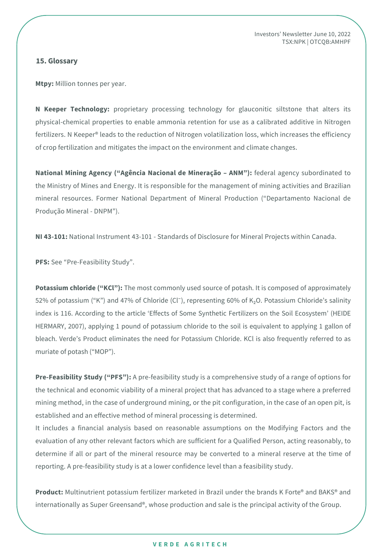**Mtpy:** Million tonnes per year.

**N Keeper Technology:** proprietary processing technology for glauconitic siltstone that alters its physical-chemical properties to enable ammonia retention for use as a calibrated additive in Nitrogen fertilizers. N Keeper® leads to the reduction of Nitrogen volatilization loss, which increases the efficiency of crop fertilization and mitigates the impact on the environment and climate changes.

**National Mining Agency ("Agência Nacional de Mineração – ANM"):** federal agency subordinated to the Ministry of Mines and Energy. It is responsible for the management of mining activities and Brazilian mineral resources. Former National Department of Mineral Production ("Departamento Nacional de Produção Mineral - DNPM").

**NI 43-101:** National Instrument 43-101 - Standards of Disclosure for Mineral Projects within Canada.

**PFS:** See "Pre-Feasibility Study".

**Potassium chloride ("KCl"):** The most commonly used source of potash. It is composed of approximately 52% of potassium ("K") and 47% of Chloride (Cl<sup>-</sup>), representing 60% of  $K<sub>2</sub>O$ . Potassium Chloride's salinity index is 116. According to the article 'Effects of Some Synthetic Fertilizers on the Soil Ecosystem' (HEIDE HERMARY, 2007), applying 1 pound of potassium chloride to the soil is equivalent to applying 1 gallon of bleach. Verde's Product eliminates the need for Potassium Chloride. KCl is also frequently referred to as muriate of potash ("MOP").

**Pre-Feasibility Study ("PFS"):** A pre-feasibility study is a comprehensive study of a range of options for the technical and economic viability of a mineral project that has advanced to a stage where a preferred mining method, in the case of underground mining, or the pit configuration, in the case of an open pit, is established and an effective method of mineral processing is determined.

It includes a financial analysis based on reasonable assumptions on the Modifying Factors and the evaluation of any other relevant factors which are sufficient for a Qualified Person, acting reasonably, to determine if all or part of the mineral resource may be converted to a mineral reserve at the time of reporting. A pre-feasibility study is at a lower confidence level than a feasibility study.

**Product:** Multinutrient potassium fertilizer marketed in Brazil under the brands K Forte® and BAKS® and internationally as Super Greensand®, whose production and sale is the principal activity of the Group.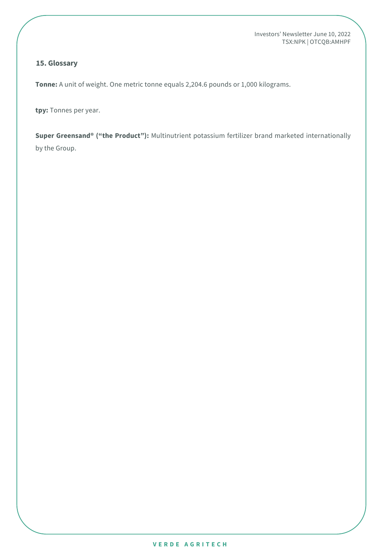#### **15. Glossary**

**Tonne:** A unit of weight. One metric tonne equals 2,204.6 pounds or 1,000 kilograms.

**tpy:** Tonnes per year.

**Super Greensand® ("the Product"):** Multinutrient potassium fertilizer brand marketed internationally by the Group.